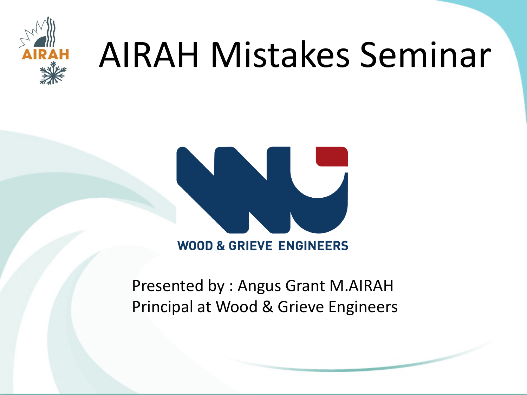

## AIRAH Mistakes Seminar



**WOOD & GRIEVE ENGINEERS** 

Presented by : Angus Grant M.AIRAH Principal at Wood & Grieve Engineers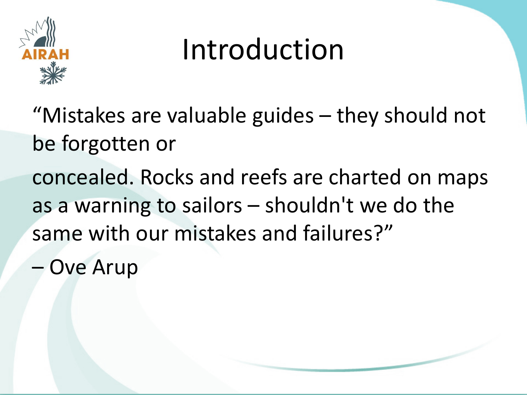

#### Introduction

"Mistakes are valuable guides – they should not be forgotten or concealed. Rocks and reefs are charted on maps as a warning to sailors – shouldn't we do the same with our mistakes and failures?"

**Ove Arup**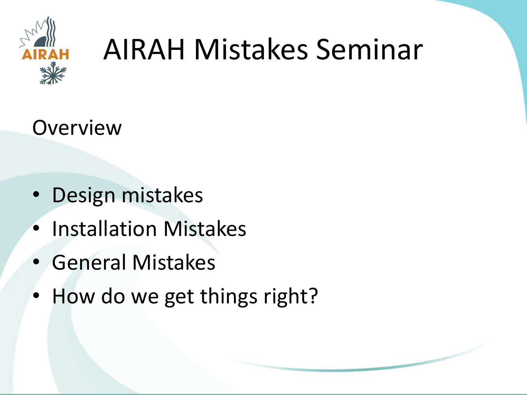

#### AIRAH Mistakes Seminar

**Overview** 

- Design mistakes
- Installation Mistakes
- General Mistakes
- How do we get things right?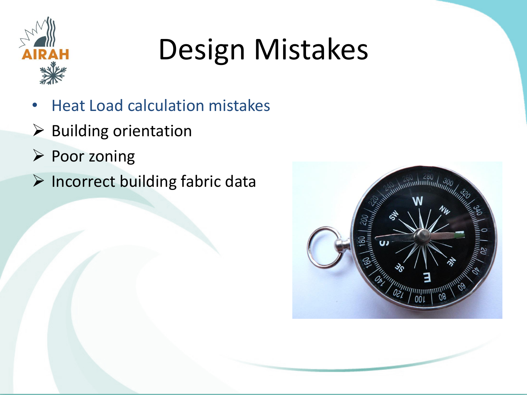

- Heat Load calculation mistakes
- $\triangleright$  Building orientation
- $\triangleright$  Poor zoning
- $\triangleright$  Incorrect building fabric data

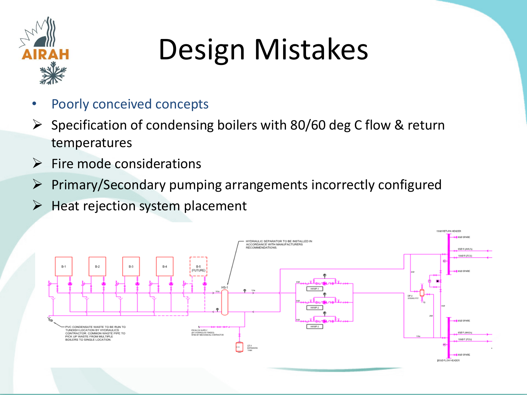

- Poorly conceived concepts
- $\triangleright$  Specification of condensing boilers with 80/60 deg C flow & return temperatures
- $\triangleright$  Fire mode considerations
- $\triangleright$  Primary/Secondary pumping arrangements incorrectly configured
- $\triangleright$  Heat rejection system placement

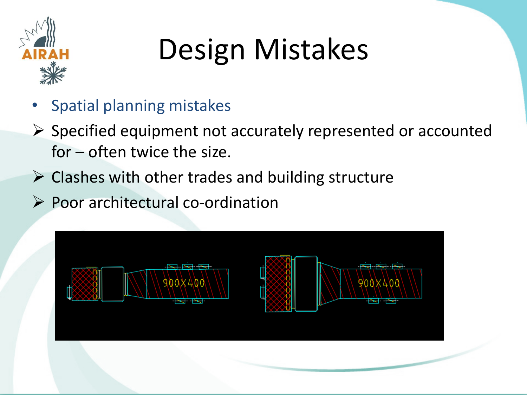

- Spatial planning mistakes
- $\triangleright$  Specified equipment not accurately represented or accounted for – often twice the size.
- $\triangleright$  Clashes with other trades and building structure
- $\triangleright$  Poor architectural co-ordination

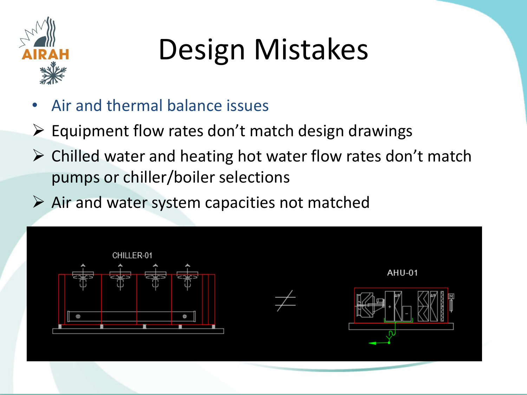

- Air and thermal balance issues
- $\triangleright$  Equipment flow rates don't match design drawings
- $\triangleright$  Chilled water and heating hot water flow rates don't match pumps or chiller/boiler selections
- $\triangleright$  Air and water system capacities not matched

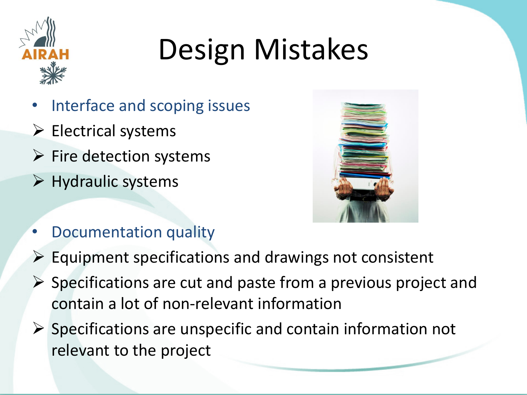

- Interface and scoping issues
- $\triangleright$  Electrical systems
- $\triangleright$  Fire detection systems
- $\triangleright$  Hydraulic systems



- Documentation quality
- $\triangleright$  Equipment specifications and drawings not consistent
- Specifications are cut and paste from a previous project and contain a lot of non-relevant information
- $\triangleright$  Specifications are unspecific and contain information not relevant to the project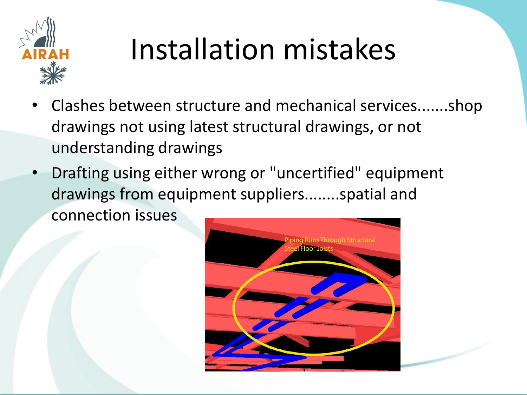

#### Installation mistakes

- Clashes between structure and mechanical services.......shop drawings not using latest structural drawings, or not understanding drawings
- Drafting using either wrong or "uncertified" equipment drawings from equipment suppliers........spatial and connection issues

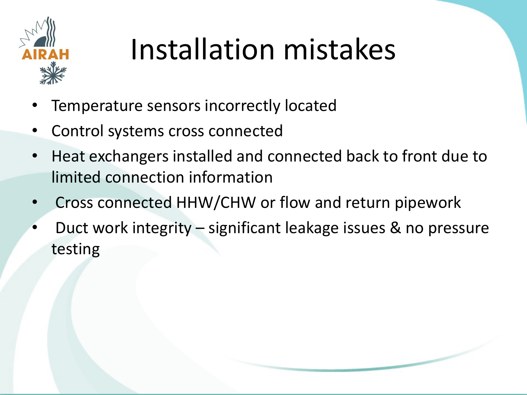

### Installation mistakes

- Temperature sensors incorrectly located
- Control systems cross connected
- Heat exchangers installed and connected back to front due to limited connection information
- Cross connected HHW/CHW or flow and return pipework
- Duct work integrity significant leakage issues & no pressure testing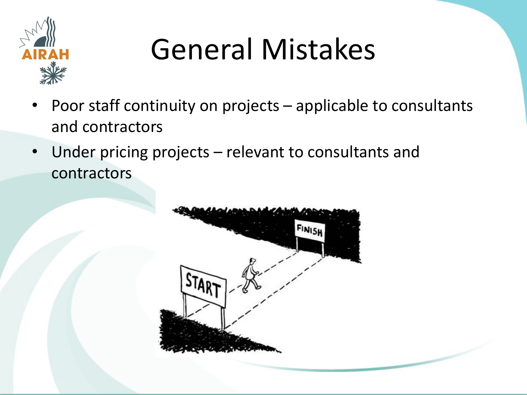

### General Mistakes

- Poor staff continuity on projects applicable to consultants and contractors
- Under pricing projects relevant to consultants and contractors